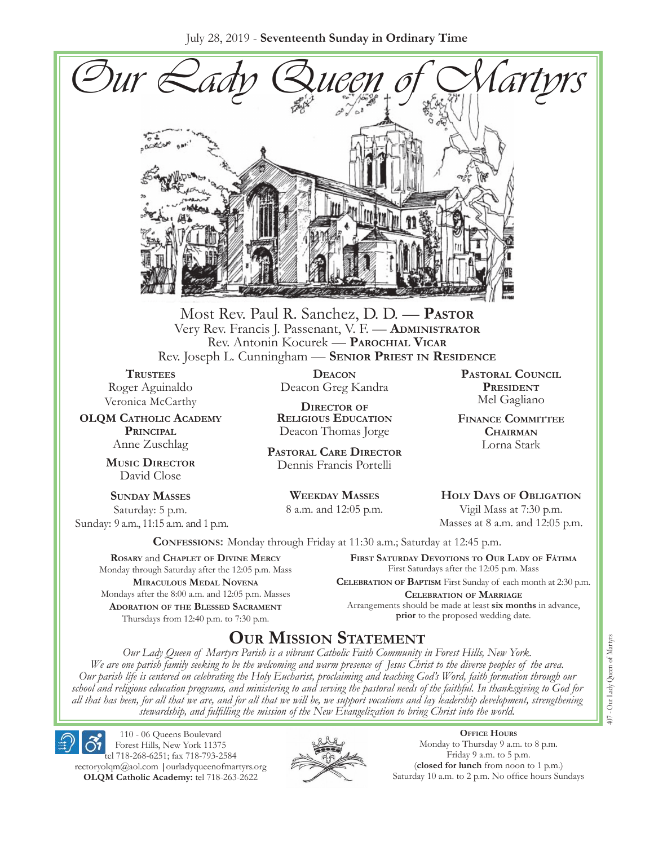July 28, 2019 - **Seventeenth Sunday in Ordinary Time**



Most Rev. Paul R. Sanchez, D. D. — **Pastor** Very Rev. Francis J. Passenant, V. F. — **Administrator** Rev. Antonin Kocurek — **Parochial Vicar** Rev. Joseph L. Cunningham — **Senior Priest in Residence**

**Trustees** Roger Aguinaldo Veronica McCarthy

**OLQM Catholic Academy Principal** Anne Zuschlag

> **Music Director** David Close

**Sunday Masses** Saturday: 5 p.m. Sunday: 9 a.m., 11:15 a.m. and 1 p.m.

**Deacon** Deacon Greg Kandra

**Director of Religious Education** Deacon Thomas Jorge

**Pastoral Care Director** Dennis Francis Portelli

> **Weekday Masses** 8 a.m. and 12:05 p.m.

**Pastoral Council PRESIDENT** Mel Gagliano

**Finance Committee Chairman** Lorna Stark

**Holy Days of Obligation** Vigil Mass at 7:30 p.m.

Masses at 8 a.m. and 12:05 p.m.

**Confessions:** Monday through Friday at 11:30 a.m.; Saturday at 12:45 p.m.

**Rosary** and **Chaplet of Divine Mercy** Monday through Saturday after the 12:05 p.m. Mass **Miraculous Medal Novena** Mondays after the 8:00 a.m. and 12:05 p.m. Masses **Adoration of the Blessed Sacrament** Thursdays from 12:40 p.m. to 7:30 p.m.

**First Saturday Devotions to Our Lady of Fátima** First Saturdays after the 12:05 p.m. Mass

**Celebration of Baptism** First Sunday of each month at 2:30 p.m. **Celebration of Marriage** Arrangements should be made at least **six months** in advance, **prior** to the proposed wedding date.

## **Our Mission Statement**

*Our Lady Queen of Martyrs Parish is a vibrant Catholic Faith Community in Forest Hills, New York. We are one parish family seeking to be the welcoming and warm presence of Jesus Christ to the diverse peoples of the area. Our parish life is centered on celebrating the Holy Eucharist, proclaiming and teaching God's Word, faith formation through our school and religious education programs, and ministering to and serving the pastoral needs of the faithful. In thanksgiving to God for all that has been, for all that we are, and for all that we will be, we support vocations and lay leadership development, strengthening stewardship, and fulfilling the mission of the New Evangelization to bring Christ into the world.*

110 - 06 Queens Boulevard Forest Hills, New York 11375 tel 718-268-6251; fax 718-793-2584 [rectoryolqm@aol.com](mailto:rectoryolqm@aol.com) **|**[ourladyqueenofmartyrs.org](www.ourladyqueenofmartyrs.org) **OLQM Catholic Academy:** tel 718-263-2622



**Office Hours** Monday to Thursday 9 a.m. to 8 p.m. Friday 9 a.m. to 5 p.m. (**closed for lunch** from noon to 1 p.m.) Saturday 10 a.m. to 2 p.m. No office hours Sundays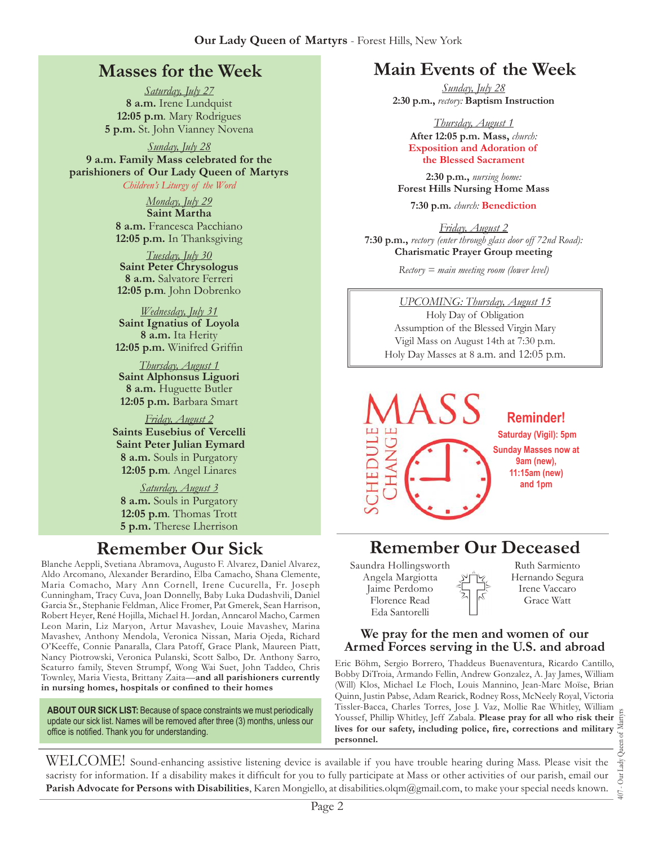### **Masses for the Week**

*Saturday, July 27* **8 a.m.** Irene Lundquist **12:05 p.m***.* Mary Rodrigues **5 p.m.** St. John Vianney Novena

*Sunday, July 28*

**9 a.m. Family Mass celebrated for the parishioners of Our Lady Queen of Martyrs** *Children's Liturgy of the Word* 

> *Monday, July 29* **Saint Martha**

**8 a.m.** Francesca Pacchiano **12:05 p.m.** In Thanksgiving

*Tuesday, July 30* **Saint Peter Chrysologus 8 a.m.** Salvatore Ferreri **12:05 p.m***.* John Dobrenko

*Wednesday, July 31* **Saint Ignatius of Loyola 8 a.m.** Ita Herity **12:05 p.m.** Winifred Griffin

*Thursday, August 1* **Saint Alphonsus Liguori 8 a.m.** Huguette Butler **12:05 p.m.** Barbara Smart

*Friday, August 2* **Saints Eusebius of Vercelli Saint Peter Julian Eymard 8 a.m.** Souls in Purgatory **12:05 p.m***.* Angel Linares

*Saturday, August 3* **8 a.m.** Souls in Purgatory **12:05 p.m***.* Thomas Trott **5 p.m.** Therese Lherrison

Blanche Aeppli, Svetiana Abramova, Augusto F. Alvarez, Daniel Alvarez, Aldo Arcomano, Alexander Berardino, Elba Camacho, Shana Clemente, Maria Comacho, Mary Ann Cornell, Irene Cucurella, Fr. Joseph Cunningham, Tracy Cuva, Joan Donnelly, Baby Luka Dudashvili, Daniel Garcia Sr., Stephanie Feldman, Alice Fromer, Pat Gmerek, Sean Harrison, Robert Heyer, René Hojilla, Michael H. Jordan, Anncarol Macho, Carmen Leon Marin, Liz Maryon, Artur Mavashev, Louie Mavashev, Marina Mavashev, Anthony Mendola, Veronica Nissan, Maria Ojeda, Richard O'Keeffe, Connie Panaralla, Clara Patoff, Grace Plank, Maureen Piatt, Nancy Piotrowski, Veronica Pulanski, Scott Salbo, Dr. Anthony Sarro, Scaturro family, Steven Strumpf, Wong Wai Suet, John Taddeo, Chris Townley, Maria Viesta, Brittany Zaita—**and all parishioners currently in nursing homes, hospitals or confined to their homes**

**ABOUT OUR SICK LIST:** Because of space constraints we must periodically update our sick list. Names will be removed after three (3) months, unless our office is notified. Thank you for understanding.

## **Main Events of the Week**

*Sunday, July 28* **2:30 p.m.,** *rectory:* **Baptism Instruction**

> *Thursday, August 1* **After 12:05 p.m. Mass,** *church:*  **Exposition and Adoration of the Blessed Sacrament**

**2:30 p.m.,** *nursing home:*  **Forest Hills Nursing Home Mass**

**7:30 p.m.** *church:* **Benediction**

*Friday, August 2* **7:30 p.m.,** *rectory (enter through glass door off 72nd Road):* **Charismatic Prayer Group meeting**

*Rectory = main meeting room (lower level)*

*UPCOMING: Thursday, August 15* Holy Day of Obligation Assumption of the Blessed Virgin Mary Vigil Mass on August 14th at 7:30 p.m. Holy Day Masses at 8 a.m. and 12:05 p.m.



# **Remember Our Sick Remember Our Deceased**

Saundra Hollingsworth Angela Margiotta Jaime Perdomo Florence Read Eda Santorelli

Ruth Sarmiento Hernando Segura Irene Vaccaro Grace Watt

#### **We pray for the men and women of our Armed Forces serving in the U.S. and abroad**

Eric Böhm, Sergio Borrero, Thaddeus Buenaventura, Ricardo Cantillo, Bobby DiTroia, Armando Fellin, Andrew Gonzalez, A. Jay James, William (Will) Klos, Michael Le Floch, Louis Mannino, Jean-Marc Moïse, Brian Quinn, Justin Pabse, Adam Rearick, Rodney Ross, McNeely Royal, Victoria Tissler-Bacca, Charles Torres, Jose J. Vaz, Mollie Rae Whitley, William Youssef, Phillip Whitley, Jeff Zabala. **Please pray for all who risk their lives for our safety, including police, fire, corrections and military personnel.**

407 - Our Lady Queen of Martyrs Our Lady  $\overline{407}$  .

WELCOME! Sound-enhancing assistive listening device is available if you have trouble hearing during Mass. Please visit the sacristy for information. If a disability makes it difficult for you to fully participate at Mass or other activities of our parish, email our **Parish Advocate for Persons with Disabilities**, Karen Mongiello, at [disabilities.olqm@gmail.com,](mailto:disabilities.olqm@gmail.com) to make your special needs known.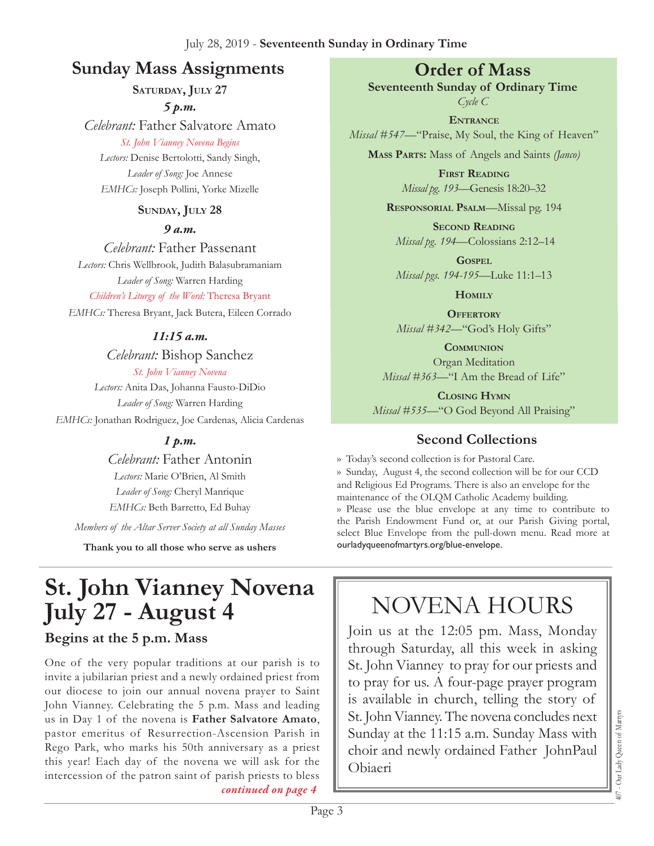# **Sunday Mass Assignments Order of Mass**

**Saturday, July 27**

*5 p.m. Celebrant:* Father Salvatore Amato

*St. John Vianney Novena Begins* 

*Lectors:* Denise Bertolotti, Sandy Singh, *Leader of Song:* Joe Annese *EMHCs:* Joseph Pollini, Yorke Mizelle

#### **Sunday, July 28**

*9 a.m.* 

*Celebrant:* Father Passenant *Lectors:* Chris Wellbrook, Judith Balasubramaniam *Leader of Song:* Warren Harding *Children's Liturgy of the Word:* Theresa Bryant

*EMHCs:* Theresa Bryant, Jack Butera, Eileen Corrado

#### *11:15 a.m.*

*Celebrant:* Bishop Sanchez *St. John Vianney Novena* 

*Lectors:* Anita Das, Johanna Fausto-DiDio *Leader of Song:* Warren Harding *EMHCs:* Jonathan Rodriguez, Joe Cardenas, Alicia Cardenas

### *1 p.m.*

*Celebrant:* Father Antonin *Lectors:* Marie O'Brien, Al Smith *Leader of Song:* Cheryl Manrique *EMHCs:* Beth Barretto, Ed Buhay

*Members of the Altar Server Society at all Sunday Masses*

**Thank you to all those who serve as ushers**

# **St. John Vianney Novena July 27 - August 4**

### **Begins at the 5 p.m. Mass**

One of the very popular traditions at our parish is to invite a jubilarian priest and a newly ordained priest from our diocese to join our annual novena prayer to Saint John Vianney. Celebrating the 5 p.m. Mass and leading us in Day 1 of the novena is **Father Salvatore Amato**, pastor emeritus of Resurrection-Ascension Parish in Rego Park, who marks his 50th anniversary as a priest this year! Each day of the novena we will ask for the intercession of the patron saint of parish priests to bless *continued on page 4*

**Seventeenth Sunday of Ordinary Time** *Cycle C*

**Entrance**

*Missal #547—*"Praise, My Soul, the King of Heaven"

**Mass Parts:** Mass of Angels and Saints *(Janco)*

**First Reading** *Missal pg. 193—*Genesis 18:20–32

**Responsorial Psalm**—Missal pg. 194

**Second Reading** *Missal pg. 194—*Colossians 2:12–14

**Gospel** *Missal pgs. 194-195—*Luke 11:1–13

**Homily**

**OFFERTORY** *Missal #342—*"God's Holy Gifts"

**Communion** Organ Meditation *Missal #363—*"I Am the Bread of Life"

**Closing Hymn** *Missal #535*—"O God Beyond All Praising"

## **Second Collections**

›› Today's second collection is for Pastoral Care. ›› Sunday, August 4, the second collection will be for our CCD and Religious Ed Programs. There is also an envelope for the maintenance of the OLQM Catholic Academy building. ›› Please use the blue envelope at any time to contribute to the Parish Endowment Fund or, at our Parish Giving portal, select Blue Envelope from the pull-down menu. Read more at ourladyqueenofmartyrs.org/blue-envelope.

# Novena Hours

Join us at the 12:05 pm. Mass, Monday through Saturday, all this week in asking St. John Vianney to pray for our priests and to pray for us. A four-page prayer program is available in church, telling the story of St. John Vianney. The novena concludes next Sunday at the 11:15 a.m. Sunday Mass with choir and newly ordained Father JohnPaul Obiaeri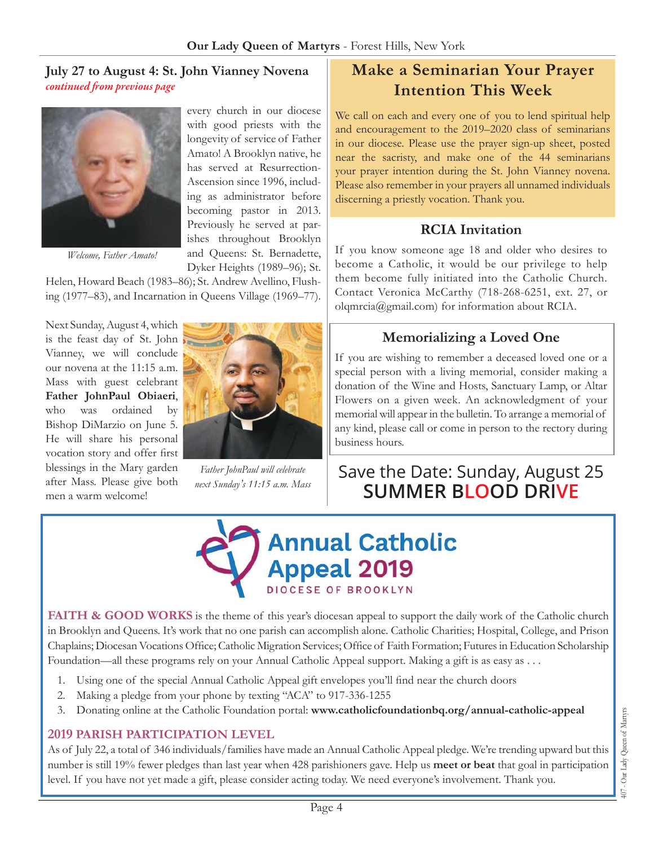#### **July 27 to August 4: St. John Vianney Novena**  *continued from previous page*



*Welcome, Father Amato!*

every church in our diocese with good priests with the longevity of service of Father Amato! A Brooklyn native, he has served at Resurrection-Ascension since 1996, including as administrator before becoming pastor in 2013. Previously he served at parishes throughout Brooklyn and Queens: St. Bernadette, Dyker Heights (1989–96); St.

Helen, Howard Beach (1983–86); St. Andrew Avellino, Flushing (1977–83), and Incarnation in Queens Village (1969–77).

Next Sunday, August 4, which is the feast day of St. John Vianney, we will conclude our novena at the 11:15 a.m. Mass with guest celebrant **Father JohnPaul Obiaeri**, who was ordained by Bishop DiMarzio on June 5. He will share his personal vocation story and offer first blessings in the Mary garden after Mass. Please give both men a warm welcome!



*Father JohnPaul will celebrate next Sunday's 11:15 a.m. Mass*

# **Make a Seminarian Your Prayer Intention This Week**

We call on each and every one of you to lend spiritual help and encouragement to the 2019–2020 class of seminarians in our diocese. Please use the prayer sign-up sheet, posted near the sacristy, and make one of the 44 seminarians your prayer intention during the St. John Vianney novena. Please also remember in your prayers all unnamed individuals discerning a priestly vocation. Thank you.

#### **RCIA Invitation**

If you know someone age 18 and older who desires to become a Catholic, it would be our privilege to help them become fully initiated into the Catholic Church. Contact Veronica McCarthy (718-268-6251, ext. 27, or olqmrcia[@gmail.com](mailto:rectoryolqm@aol.com)) for information about RCIA.

#### **Memorializing a Loved One**

If you are wishing to remember a deceased loved one or a special person with a living memorial, consider making a donation of the Wine and Hosts, Sanctuary Lamp, or Altar Flowers on a given week. An acknowledgment of your memorial will appear in the bulletin. To arrange a memorial of any kind, please call or come in person to the rectory during business hours.

# Save the Date: Sunday, August 25 **Summer Blood Drive**



FAITH & GOOD WORKS is the theme of this year's diocesan appeal to support the daily work of the Catholic church in Brooklyn and Queens. It's work that no one parish can accomplish alone. Catholic Charities; Hospital, College, and Prison Chaplains; Diocesan Vocations Office; Catholic Migration Services; Office of Faith Formation; Futures in Education Scholarship Foundation—all these programs rely on your Annual Catholic Appeal support. Making a gift is as easy as . . .

- 1. Using one of the special Annual Catholic Appeal gift envelopes you'll find near the church doors
- 2. Making a pledge from your phone by texting "ACA" to 917-336-1255
- 3. Donating online at the Catholic Foundation portal: **[www.catholicfoundationbq.org/annual-](www.catholicfoundationbq.org/annual)catholic-appeal**

#### **2019 PARISH Participation Level**

As of July 22, a total of 346 individuals/families have made an Annual Catholic Appeal pledge. We're trending upward but this number is still 19% fewer pledges than last year when 428 parishioners gave. Help us **meet or beat** that goal in participation level. If you have not yet made a gift, please consider acting today. We need everyone's involvement. Thank you.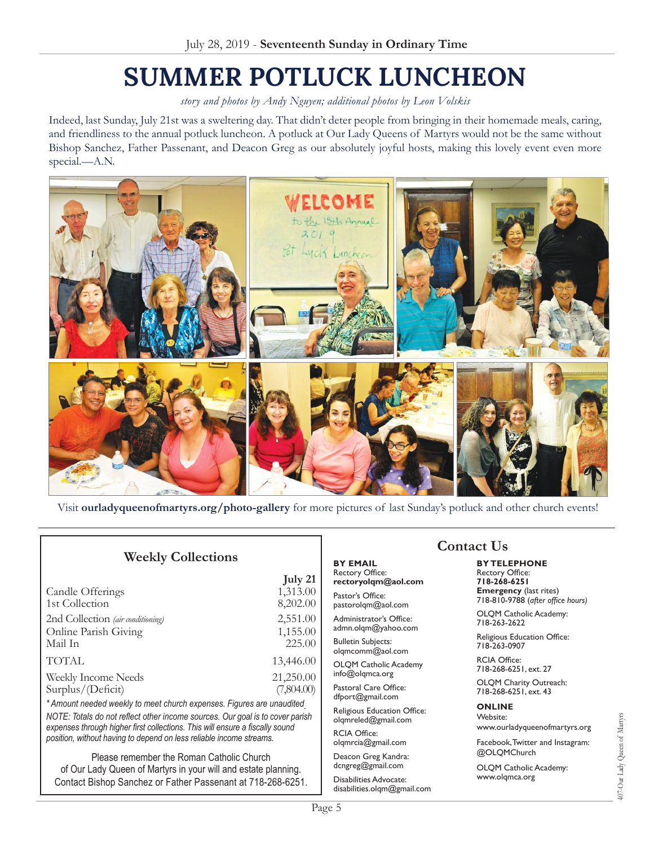# **Summer Potluck Luncheon**

*story and photos by Andy Nguyen; additional photos by Leon Volskis* 

Indeed, last Sunday, July 21st was a sweltering day. That didn't deter people from bringing in their homemade meals, caring, and friendliness to the annual potluck luncheon. A potluck at Our Lady Queens of Martyrs would not be the same without Bishop Sanchez, Father Passenant, and Deacon Greg as our absolutely joyful hosts, making this lovely event even more special.—A.N.



Visit **<ourladyqueenofmartyrs.org/photo>-gallery** for more pictures of last Sunday's potluck and other church events!

**July 21**

#### **Weekly Collections**

|                                   | $J^{\text{ULY}}$ |
|-----------------------------------|------------------|
| Candle Offerings                  | 1,313.00         |
| 1st Collection                    | 8,202.00         |
| 2nd Collection (air conditioning) | 2,551.00         |
| Online Parish Giving              | 1,155.00         |
| Mail In                           | 225.00           |
| <b>TOTAL</b>                      | 13,446.00        |
| Weekly Income Needs               | 21,250.00        |
| Surplus/(Deficit)                 | (7,804.00)       |
|                                   |                  |

*\* Amount needed weekly to meet church expenses. Figures are unaudited. NOTE: Totals do not reflect other income sources. Our goal is to cover parish expenses through higher first collections. This will ensure a fiscally sound position, without having to depend on less reliable income streams.*

Please remember the Roman Catholic Church of Our Lady Queen of Martyrs in your will and estate planning. Contact Bishop Sanchez or Father Passenant at 718-268-6251.

#### **By Email** Rectory Office: **rectoryolqm@aol.com**

Pastor's Office: pastorolqm@aol.com

Administrator's Office: admn.olqm@yahoo.com

Bulletin Subjects: olqmcomm@aol.com

OLQM Catholic Academy info@olqmca.org

Pastoral Care Office: dfport@gmail.com

Religious Education Office: olqmreled@gmail.com

RCIA Office: [olqmrcia@gmail.com](mailto:olqmrcia@gmail.com)

Deacon Greg Kandra: dcngreg@gmail.com

Disabilities Advocate: [disabilities.olqm@gmail.com](mailto:disabilities.olqm@gmail.com)

### **Contact Us**

**By Telephone** Rectory Office: **718-268-6251 Emergency** (last rites) 718-810-9788 (*after office hours)*

OLQM Catholic Academy: 718-263-2622

Religious Education Office: 718-263-0907

RCIA Office: 718-268-6251, ext. 27

OLQM Charity Outreach: 718-268-6251, ext. 43

#### **Online**

Website: www.ourladyqueenofmartyrs.org

Facebook, Twitter and Instagram: @OLQMChurch

OLQM Catholic Academy: <www.olqmca.org>